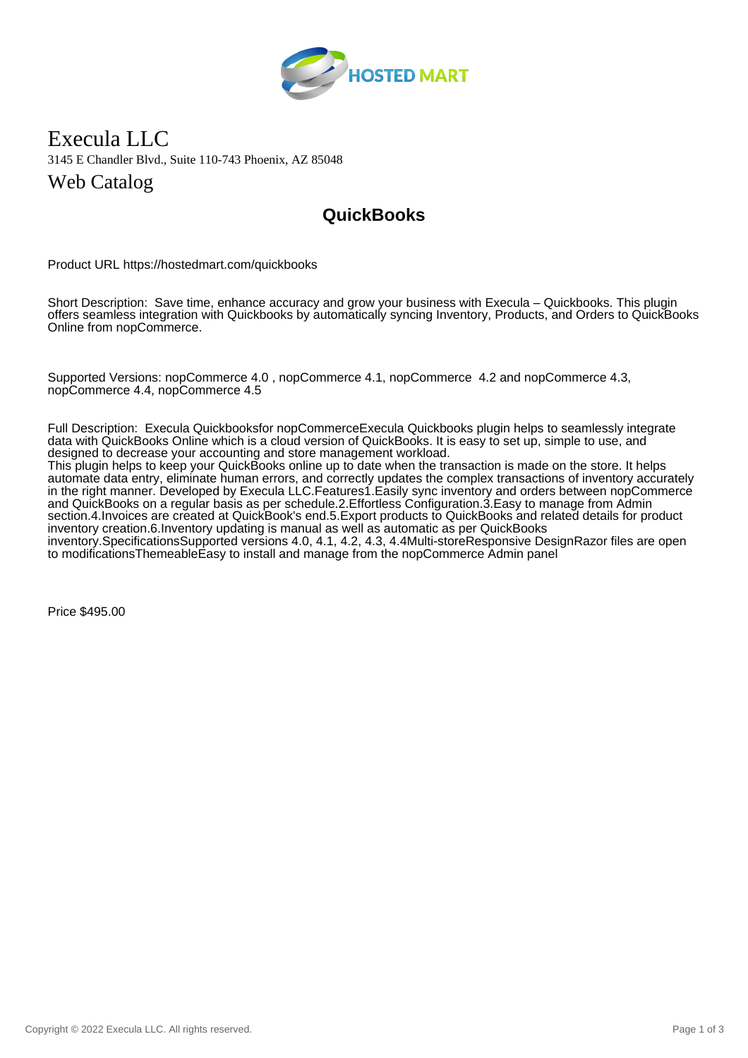

## Execula LLC 3145 E Chandler Blvd., Suite 110-743 Phoenix, AZ 85048 Web Catalog

## **QuickBooks**

Product URL https://hostedmart.com/quickbooks

Short Description: Save time, enhance accuracy and grow your business with Execula – Quickbooks. This plugin offers seamless integration with Quickbooks by automatically syncing Inventory, Products, and Orders to QuickBooks Online from nopCommerce.

Supported Versions: nopCommerce 4.0 , nopCommerce 4.1, nopCommerce 4.2 and nopCommerce 4.3, nopCommerce 4.4, nopCommerce 4.5

Full Description: Execula Quickbooksfor nopCommerceExecula Quickbooks plugin helps to seamlessly integrate data with QuickBooks Online which is a cloud version of QuickBooks. It is easy to set up, simple to use, and designed to decrease your accounting and store management workload.

This plugin helps to keep your QuickBooks online up to date when the transaction is made on the store. It helps automate data entry, eliminate human errors, and correctly updates the complex transactions of inventory accurately in the right manner. Developed by Execula LLC.Features1.Easily sync inventory and orders between nopCommerce and QuickBooks on a regular basis as per schedule.2.Effortless Configuration.3.Easy to manage from Admin section.4.Invoices are created at QuickBook's end.5.Export products to QuickBooks and related details for product inventory creation.6.Inventory updating is manual as well as automatic as per QuickBooks inventory.SpecificationsSupported versions 4.0, 4.1, 4.2, 4.3, 4.4Multi-storeResponsive DesignRazor files are open to modificationsThemeableEasy to install and manage from the nopCommerce Admin panel

Price \$495.00